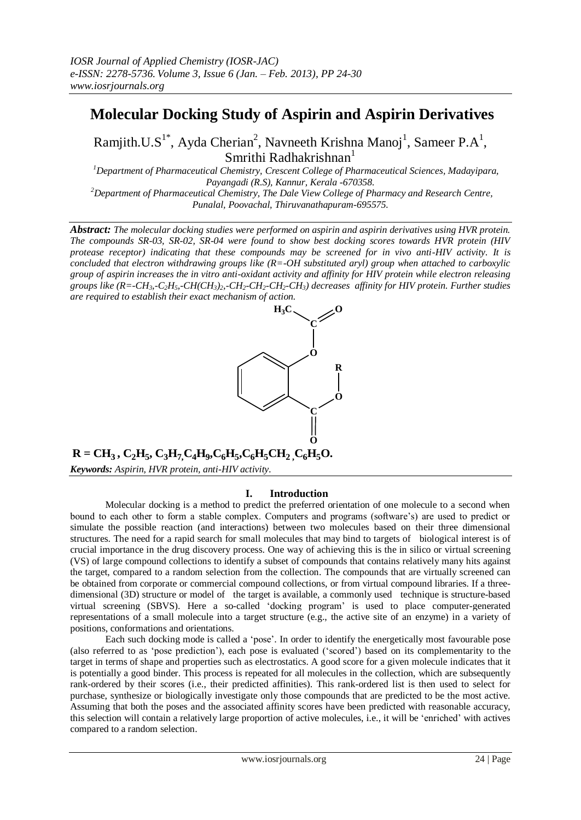# **Molecular Docking Study of Aspirin and Aspirin Derivatives**

Ramjith.U.S<sup>1\*</sup>, Ayda Cherian<sup>2</sup>, Navneeth Krishna Manoj<sup>1</sup>, Sameer P.A<sup>1</sup>, Smrithi Radhakrishnan<sup>1</sup>

*<sup>1</sup>Department of Pharmaceutical Chemistry, Crescent College of Pharmaceutical Sciences, Madayipara, Payangadi (R.S), Kannur, Kerala -670358. <sup>2</sup>Department of Pharmaceutical Chemistry, The Dale View College of Pharmacy and Research Centre, Punalal, Poovachal, Thiruvanathapuram-695575.*

*Abstract: The molecular docking studies were performed on aspirin and aspirin derivatives using HVR protein. The compounds SR-03, SR-02, SR-04 were found to show best docking scores towards HVR protein (HIV protease receptor) indicating that these compounds may be screened for in vivo anti-HIV activity. It is concluded that electron withdrawing groups like (R=-OH substituted aryl) group when attached to carboxylic group of aspirin increases the in vitro anti-oxidant activity and affinity for HIV protein while electron releasing*  groups like  $(R = CH_3 - C_2H_3 - CH(CH_3)$ ,  $-CH_2-CH_2-CH_2-CH_3)$  decreases affinity for HIV protein. Further studies *are required to establish their exact mechanism of action.*



 $R = CH_3, C_2H_5, C_3H_7C_4H_9, C_6H_5, C_6H_5CH_2, C_6H_5O.$ 

*Keywords: Aspirin, HVR protein, anti-HIV activity.*

## **I. Introduction**

Molecular docking is a method to predict the preferred orientation of one molecule to a second when bound to each other to form a stable complex. Computers and programs (software"s) are used to predict or simulate the possible reaction (and interactions) between two molecules based on their three dimensional structures. The need for a rapid search for small molecules that may bind to targets of biological interest is of crucial importance in the drug discovery process. One way of achieving this is the in silico or virtual screening (VS) of large compound collections to identify a subset of compounds that contains relatively many hits against the target, compared to a random selection from the collection. The compounds that are virtually screened can be obtained from corporate or commercial compound collections, or from virtual compound libraries. If a threedimensional (3D) structure or model of the target is available, a commonly used technique is structure-based virtual screening (SBVS). Here a so-called "docking program" is used to place computer-generated representations of a small molecule into a target structure (e.g., the active site of an enzyme) in a variety of positions, conformations and orientations.

Each such docking mode is called a "pose". In order to identify the energetically most favourable pose (also referred to as "pose prediction"), each pose is evaluated ("scored") based on its complementarity to the target in terms of shape and properties such as electrostatics. A good score for a given molecule indicates that it is potentially a good binder. This process is repeated for all molecules in the collection, which are subsequently rank-ordered by their scores (i.e., their predicted affinities). This rank-ordered list is then used to select for purchase, synthesize or biologically investigate only those compounds that are predicted to be the most active. Assuming that both the poses and the associated affinity scores have been predicted with reasonable accuracy, this selection will contain a relatively large proportion of active molecules, i.e., it will be "enriched" with actives compared to a random selection.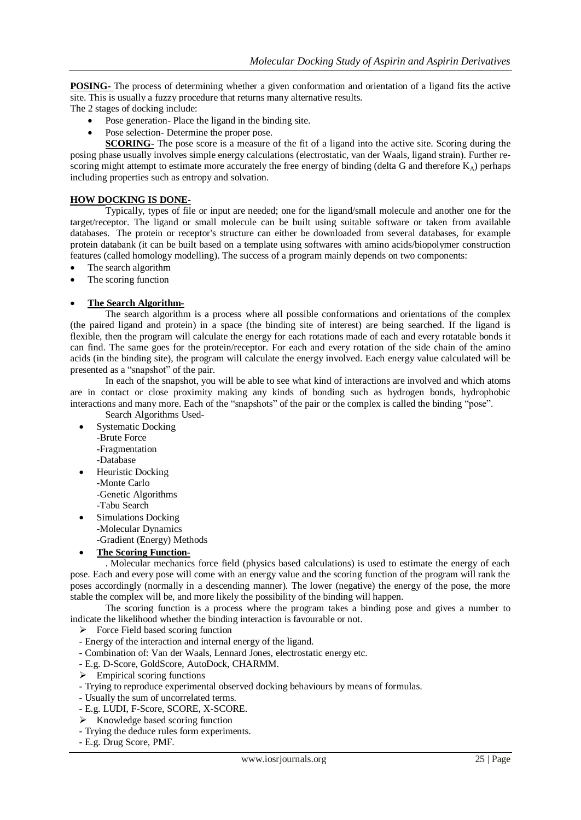**POSING-** The process of determining whether a given conformation and orientation of a ligand fits the active site. This is usually a fuzzy procedure that returns many alternative results.

The 2 stages of docking include:

- Pose generation- Place the ligand in the binding site.
- Pose selection- Determine the proper pose.

**SCORING-** The pose score is a measure of the fit of a ligand into the active site. Scoring during the posing phase usually involves simple energy calculations (electrostatic, van der Waals, ligand strain). Further rescoring might attempt to estimate more accurately the free energy of binding (delta G and therefore  $K_A$ ) perhaps including properties such as entropy and solvation.

#### **HOW DOCKING IS DONE-**

Typically, types of file or input are needed; one for the ligand/small molecule and another one for the target/receptor. The ligand or small molecule can be built using suitable software or taken from available databases. The protein or receptor's structure can either be downloaded from several databases, for example protein databank (it can be built based on a template using softwares with amino acids/biopolymer construction features (called homology modelling). The success of a program mainly depends on two components:

- The search algorithm
- The scoring function

#### **The Search Algorithm-**

The search algorithm is a process where all possible conformations and orientations of the complex (the paired ligand and protein) in a space (the binding site of interest) are being searched. If the ligand is flexible, then the program will calculate the energy for each rotations made of each and every rotatable bonds it can find. The same goes for the protein/receptor. For each and every rotation of the side chain of the amino acids (in the binding site), the program will calculate the energy involved. Each energy value calculated will be presented as a "snapshot" of the pair.

In each of the snapshot, you will be able to see what kind of interactions are involved and which atoms are in contact or close proximity making any kinds of bonding such as hydrogen bonds, hydrophobic interactions and many more. Each of the "snapshots" of the pair or the complex is called the binding "pose". Search Algorithms Used-

Systematic Docking

- -Brute Force
	- -Fragmentation
- -Database
- Heuristic Docking -Monte Carlo -Genetic Algorithms -Tabu Search
- Simulations Docking
- -Molecular Dynamics
- -Gradient (Energy) Methods
- **The Scoring Function-**

. Molecular mechanics force field (physics based calculations) is used to estimate the energy of each pose. Each and every pose will come with an energy value and the scoring function of the program will rank the poses accordingly (normally in a descending manner). The lower (negative) the energy of the pose, the more stable the complex will be, and more likely the possibility of the binding will happen.

The scoring function is a process where the program takes a binding pose and gives a number to indicate the likelihood whether the binding interaction is favourable or not.

- $\triangleright$  Force Field based scoring function
- Energy of the interaction and internal energy of the ligand.
- Combination of: Van der Waals, Lennard Jones, electrostatic energy etc.
- E.g. D-Score, GoldScore, AutoDock, CHARMM.
- $\triangleright$  Empirical scoring functions
- Trying to reproduce experimental observed docking behaviours by means of formulas.
- Usually the sum of uncorrelated terms.
- E.g. LUDI, F-Score, SCORE, X-SCORE.
- $\triangleright$  Knowledge based scoring function
- Trying the deduce rules form experiments.
- E.g. Drug Score, PMF.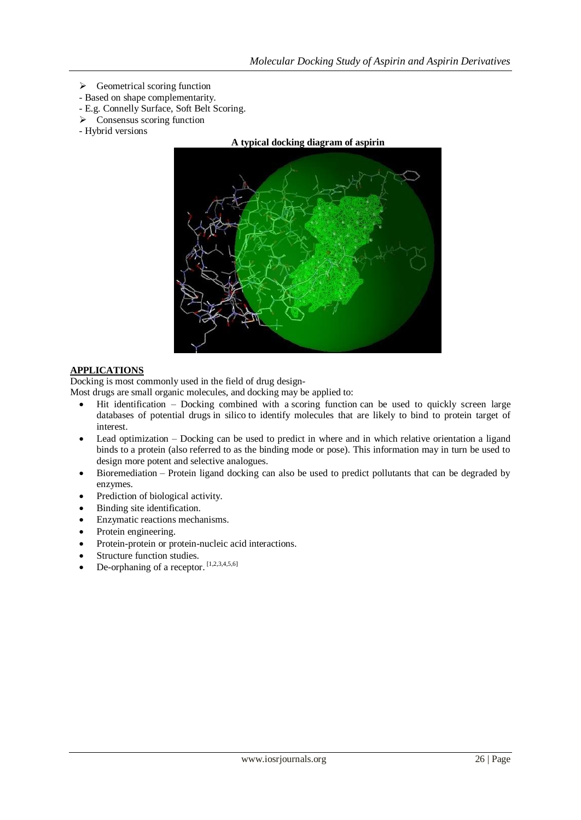- $\triangleright$  Geometrical scoring function
- Based on shape complementarity.
- E.g. Connelly Surface, Soft Belt Scoring.
- $\triangleright$  Consensus scoring function
- Hybrid versions



#### **APPLICATIONS**

Docking is most commonly used in the field of [drug design-](http://en.wikipedia.org/wiki/Drug_design)

Most drugs are smal[l organic](http://en.wikipedia.org/wiki/Organic_compound) molecules, and docking may be applied to:

- Hit identification Docking combined with a [scoring function](http://en.wikipedia.org/wiki/Scoring_functions_for_docking) can be used to quickly screen large databases of potential drugs [in silico](http://en.wikipedia.org/wiki/In_silico) to identify molecules that are likely to bind to protein target of interest.
- Lead optimization Docking can be used to predict in where and in which relative orientation a ligand binds to a protein (also referred to as the binding mode or pose). This information may in turn be used to design more potent and selective analogues.
- [Bioremediation](http://en.wikipedia.org/wiki/Bioremediation) Protein ligand docking can also be used to predict pollutants that can be degraded by enzymes.
- Prediction of biological activity.
- Binding site identification.
- Enzymatic reactions mechanisms.
- Protein engineering.
- Protein-protein or protein-nucleic acid interactions.
- Structure function studies.
- De-orphaning of a receptor. [1,2,3,4,5,6]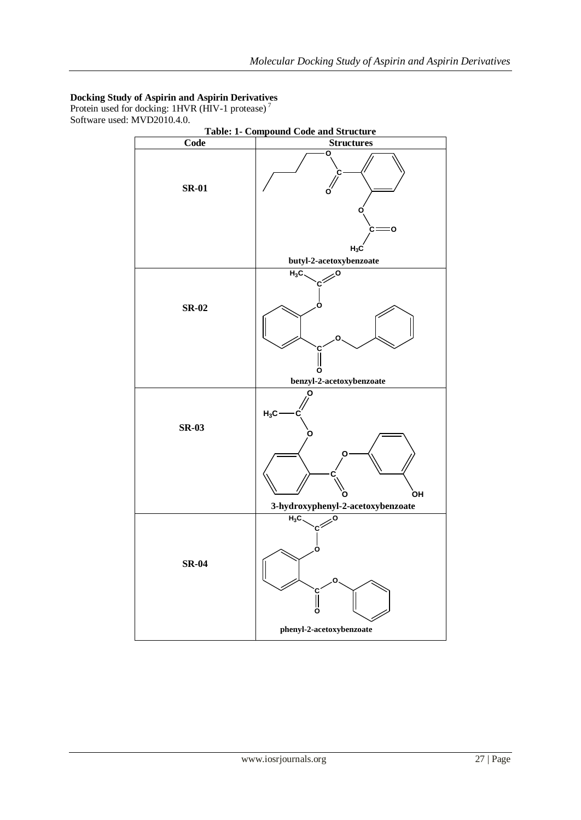## **Docking Study of Aspirin and Aspirin Derivatives**

Protein used for docking: 1HVR (HIV-1 protease)<sup>7</sup> Software used: MVD2010.4.0.

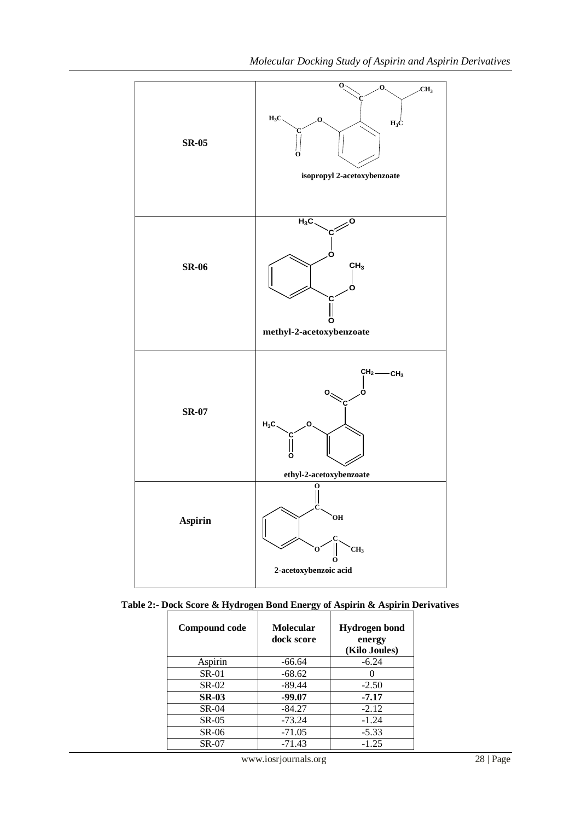

| Compound code | Molecular<br>dock score | <b>Hydrogen</b> bond<br>energy<br>(Kilo Joules) |
|---------------|-------------------------|-------------------------------------------------|
| Aspirin       | $-66.64$                | $-6.24$                                         |
| $SR-01$       | $-68.62$                |                                                 |
| <b>SR-02</b>  | $-89.44$                | $-2.50$                                         |
| <b>SR-03</b>  | $-99.07$                | $-7.17$                                         |
| $SR-04$       | $-84.27$                | $-2.12$                                         |
| $SR-05$       | $-73.24$                | $-1.24$                                         |
| SR-06         | $-71.05$                | $-5.33$                                         |
| <b>SR-07</b>  | $-71.43$                | $-1.25$                                         |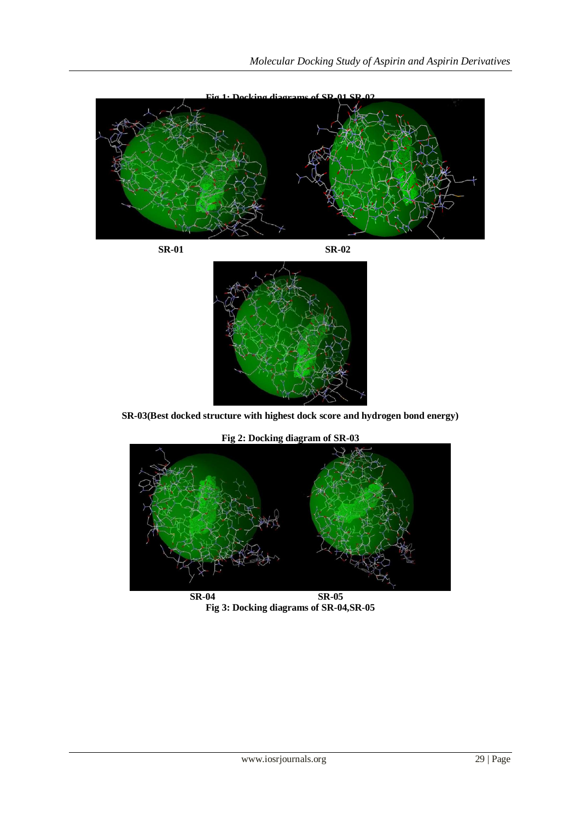

 **SR-01 SR-02**



**SR-03(Best docked structure with highest dock score and hydrogen bond energy)**



**Fig 2: Docking diagram of SR-03**

 **SR-04 SR-05 Fig 3: Docking diagrams of SR-04,SR-05**